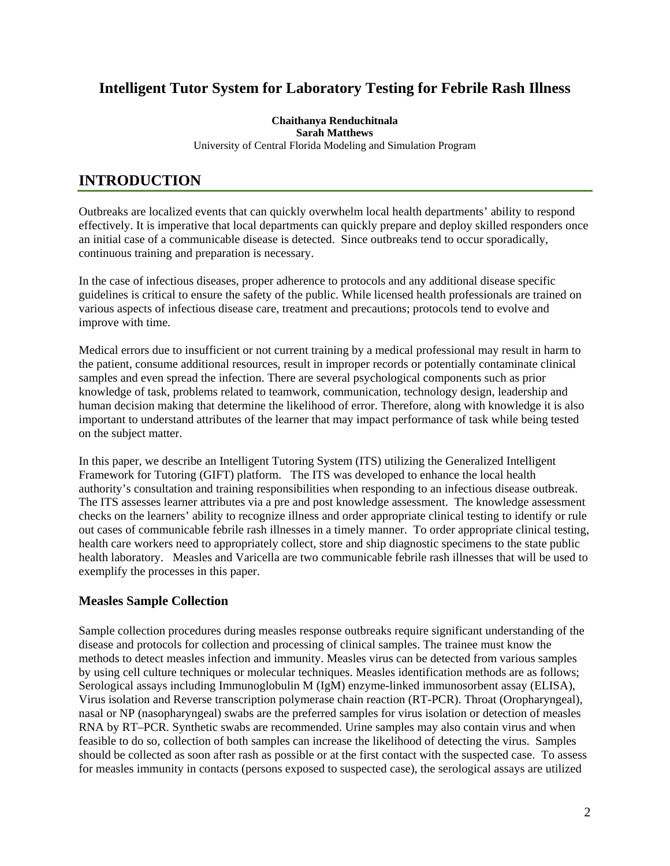## **Intelligent Tutor System for Laboratory Testing for Febrile Rash Illness**

**Chaithanya Renduchitnala Sarah Matthews**  University of Central Florida Modeling and Simulation Program

# **INTRODUCTION**

Outbreaks are localized events that can quickly overwhelm local health departments' ability to respond effectively. It is imperative that local departments can quickly prepare and deploy skilled responders once an initial case of a communicable disease is detected. Since outbreaks tend to occur sporadically, continuous training and preparation is necessary.

In the case of infectious diseases, proper adherence to protocols and any additional disease specific guidelines is critical to ensure the safety of the public. While licensed health professionals are trained on various aspects of infectious disease care, treatment and precautions; protocols tend to evolve and improve with time.

Medical errors due to insufficient or not current training by a medical professional may result in harm to the patient, consume additional resources, result in improper records or potentially contaminate clinical samples and even spread the infection. There are several psychological components such as prior knowledge of task, problems related to teamwork, communication, technology design, leadership and human decision making that determine the likelihood of error. Therefore, along with knowledge it is also important to understand attributes of the learner that may impact performance of task while being tested on the subject matter.

In this paper, we describe an Intelligent Tutoring System (ITS) utilizing the Generalized Intelligent Framework for Tutoring (GIFT) platform. The ITS was developed to enhance the local health authority's consultation and training responsibilities when responding to an infectious disease outbreak. The ITS assesses learner attributes via a pre and post knowledge assessment. The knowledge assessment checks on the learners' ability to recognize illness and order appropriate clinical testing to identify or rule out cases of communicable febrile rash illnesses in a timely manner. To order appropriate clinical testing, health care workers need to appropriately collect, store and ship diagnostic specimens to the state public health laboratory. Measles and Varicella are two communicable febrile rash illnesses that will be used to exemplify the processes in this paper.

### **Measles Sample Collection**

Sample collection procedures during measles response outbreaks require significant understanding of the disease and protocols for collection and processing of clinical samples. The trainee must know the methods to detect measles infection and immunity. Measles virus can be detected from various samples by using cell culture techniques or molecular techniques. Measles identification methods are as follows; Serological assays including Immunoglobulin M (IgM) enzyme-linked immunosorbent assay (ELISA), Virus isolation and Reverse transcription polymerase chain reaction (RT-PCR). Throat (Oropharyngeal), nasal or NP (nasopharyngeal) swabs are the preferred samples for virus isolation or detection of measles RNA by RT–PCR. Synthetic swabs are recommended. Urine samples may also contain virus and when feasible to do so, collection of both samples can increase the likelihood of detecting the virus. Samples should be collected as soon after rash as possible or at the first contact with the suspected case. To assess for measles immunity in contacts (persons exposed to suspected case), the serological assays are utilized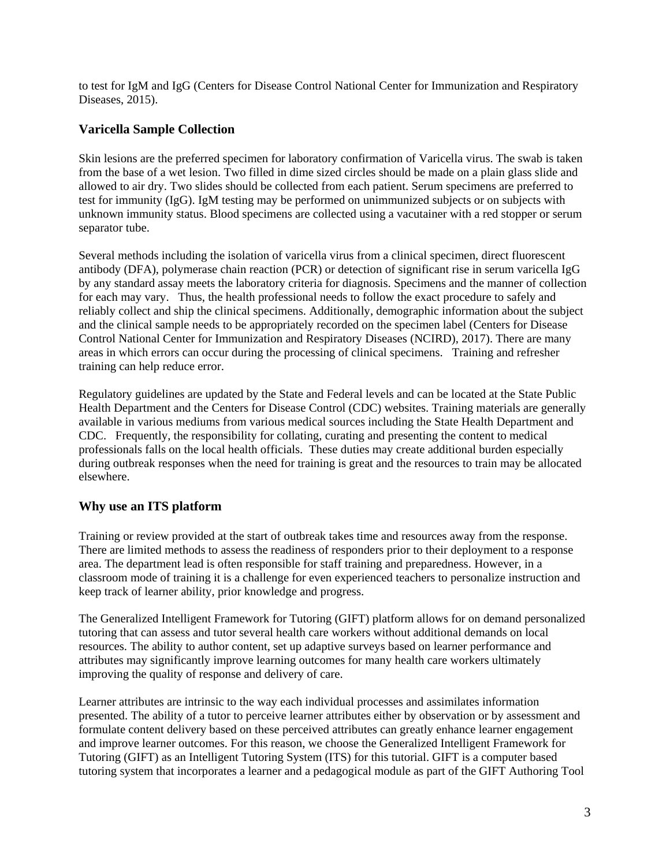to test for IgM and IgG (Centers for Disease Control National Center for Immunization and Respiratory Diseases, 2015).

### **Varicella Sample Collection**

Skin lesions are the preferred specimen for laboratory confirmation of Varicella virus. The swab is taken from the base of a wet lesion. Two filled in dime sized circles should be made on a plain glass slide and allowed to air dry. Two slides should be collected from each patient. Serum specimens are preferred to test for immunity (IgG). IgM testing may be performed on unimmunized subjects or on subjects with unknown immunity status. Blood specimens are collected using a vacutainer with a red stopper or serum separator tube.

Several methods including the isolation of varicella virus from a clinical specimen, direct fluorescent antibody (DFA), polymerase chain reaction (PCR) or detection of significant rise in serum varicella IgG by any standard assay meets the laboratory criteria for diagnosis. Specimens and the manner of collection for each may vary. Thus, the health professional needs to follow the exact procedure to safely and reliably collect and ship the clinical specimens. Additionally, demographic information about the subject and the clinical sample needs to be appropriately recorded on the specimen label (Centers for Disease Control National Center for Immunization and Respiratory Diseases (NCIRD), 2017). There are many areas in which errors can occur during the processing of clinical specimens. Training and refresher training can help reduce error.

Regulatory guidelines are updated by the State and Federal levels and can be located at the State Public Health Department and the Centers for Disease Control (CDC) websites. Training materials are generally available in various mediums from various medical sources including the State Health Department and CDC. Frequently, the responsibility for collating, curating and presenting the content to medical professionals falls on the local health officials. These duties may create additional burden especially during outbreak responses when the need for training is great and the resources to train may be allocated elsewhere.

### **Why use an ITS platform**

Training or review provided at the start of outbreak takes time and resources away from the response. There are limited methods to assess the readiness of responders prior to their deployment to a response area. The department lead is often responsible for staff training and preparedness. However, in a classroom mode of training it is a challenge for even experienced teachers to personalize instruction and keep track of learner ability, prior knowledge and progress.

The Generalized Intelligent Framework for Tutoring (GIFT) platform allows for on demand personalized tutoring that can assess and tutor several health care workers without additional demands on local resources. The ability to author content, set up adaptive surveys based on learner performance and attributes may significantly improve learning outcomes for many health care workers ultimately improving the quality of response and delivery of care.

Learner attributes are intrinsic to the way each individual processes and assimilates information presented. The ability of a tutor to perceive learner attributes either by observation or by assessment and formulate content delivery based on these perceived attributes can greatly enhance learner engagement and improve learner outcomes. For this reason, we choose the Generalized Intelligent Framework for Tutoring (GIFT) as an Intelligent Tutoring System (ITS) for this tutorial. GIFT is a computer based tutoring system that incorporates a learner and a pedagogical module as part of the GIFT Authoring Tool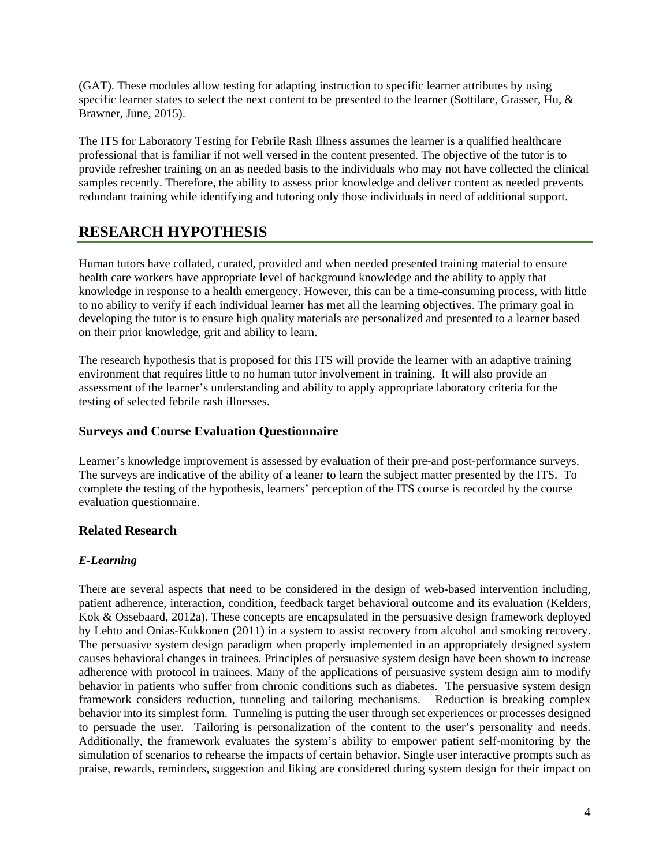(GAT). These modules allow testing for adapting instruction to specific learner attributes by using specific learner states to select the next content to be presented to the learner (Sottilare, Grasser, Hu, & Brawner, June, 2015).

The ITS for Laboratory Testing for Febrile Rash Illness assumes the learner is a qualified healthcare professional that is familiar if not well versed in the content presented. The objective of the tutor is to provide refresher training on an as needed basis to the individuals who may not have collected the clinical samples recently. Therefore, the ability to assess prior knowledge and deliver content as needed prevents redundant training while identifying and tutoring only those individuals in need of additional support.

## **RESEARCH HYPOTHESIS**

Human tutors have collated, curated, provided and when needed presented training material to ensure health care workers have appropriate level of background knowledge and the ability to apply that knowledge in response to a health emergency. However, this can be a time-consuming process, with little to no ability to verify if each individual learner has met all the learning objectives. The primary goal in developing the tutor is to ensure high quality materials are personalized and presented to a learner based on their prior knowledge, grit and ability to learn.

The research hypothesis that is proposed for this ITS will provide the learner with an adaptive training environment that requires little to no human tutor involvement in training. It will also provide an assessment of the learner's understanding and ability to apply appropriate laboratory criteria for the testing of selected febrile rash illnesses.

### **Surveys and Course Evaluation Questionnaire**

Learner's knowledge improvement is assessed by evaluation of their pre-and post-performance surveys. The surveys are indicative of the ability of a leaner to learn the subject matter presented by the ITS. To complete the testing of the hypothesis, learners' perception of the ITS course is recorded by the course evaluation questionnaire.

### **Related Research**

### *E-Learning*

There are several aspects that need to be considered in the design of web-based intervention including, patient adherence, interaction, condition, feedback target behavioral outcome and its evaluation (Kelders, Kok & Ossebaard, 2012a). These concepts are encapsulated in the persuasive design framework deployed by Lehto and Onias-Kukkonen (2011) in a system to assist recovery from alcohol and smoking recovery. The persuasive system design paradigm when properly implemented in an appropriately designed system causes behavioral changes in trainees. Principles of persuasive system design have been shown to increase adherence with protocol in trainees. Many of the applications of persuasive system design aim to modify behavior in patients who suffer from chronic conditions such as diabetes. The persuasive system design framework considers reduction, tunneling and tailoring mechanisms. Reduction is breaking complex behavior into its simplest form. Tunneling is putting the user through set experiences or processes designed to persuade the user. Tailoring is personalization of the content to the user's personality and needs. Additionally, the framework evaluates the system's ability to empower patient self-monitoring by the simulation of scenarios to rehearse the impacts of certain behavior. Single user interactive prompts such as praise, rewards, reminders, suggestion and liking are considered during system design for their impact on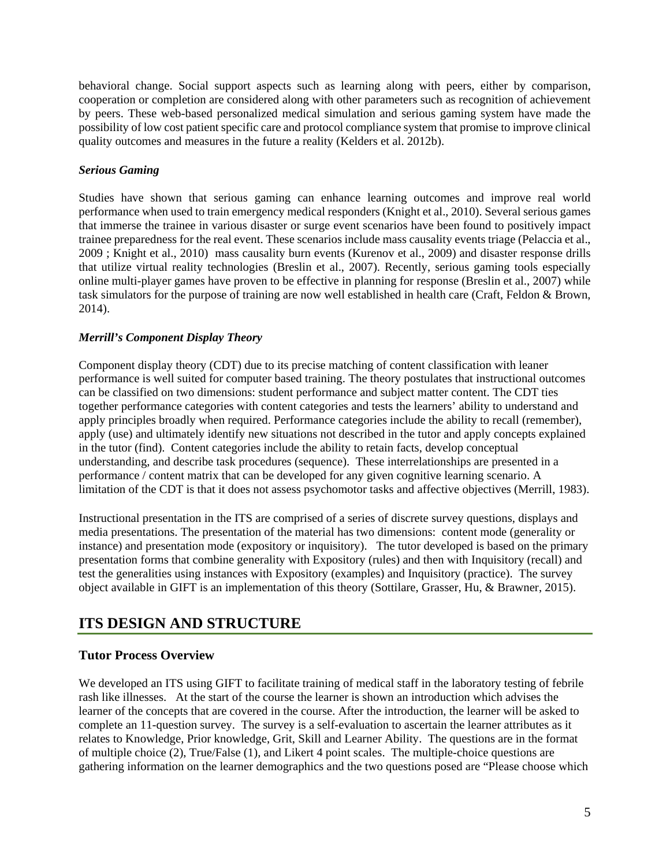behavioral change. Social support aspects such as learning along with peers, either by comparison, cooperation or completion are considered along with other parameters such as recognition of achievement by peers. These web-based personalized medical simulation and serious gaming system have made the possibility of low cost patient specific care and protocol compliance system that promise to improve clinical quality outcomes and measures in the future a reality (Kelders et al. 2012b).

#### *Serious Gaming*

Studies have shown that serious gaming can enhance learning outcomes and improve real world performance when used to train emergency medical responders (Knight et al., 2010). Several serious games that immerse the trainee in various disaster or surge event scenarios have been found to positively impact trainee preparedness for the real event. These scenarios include mass causality events triage (Pelaccia et al., 2009 ; Knight et al., 2010) mass causality burn events (Kurenov et al., 2009) and disaster response drills that utilize virtual reality technologies (Breslin et al., 2007). Recently, serious gaming tools especially online multi-player games have proven to be effective in planning for response (Breslin et al., 2007) while task simulators for the purpose of training are now well established in health care (Craft, Feldon & Brown, 2014).

### *Merrill's Component Display Theory*

Component display theory (CDT) due to its precise matching of content classification with leaner performance is well suited for computer based training. The theory postulates that instructional outcomes can be classified on two dimensions: student performance and subject matter content. The CDT ties together performance categories with content categories and tests the learners' ability to understand and apply principles broadly when required. Performance categories include the ability to recall (remember), apply (use) and ultimately identify new situations not described in the tutor and apply concepts explained in the tutor (find). Content categories include the ability to retain facts, develop conceptual understanding, and describe task procedures (sequence). These interrelationships are presented in a performance / content matrix that can be developed for any given cognitive learning scenario. A limitation of the CDT is that it does not assess psychomotor tasks and affective objectives (Merrill, 1983).

Instructional presentation in the ITS are comprised of a series of discrete survey questions, displays and media presentations. The presentation of the material has two dimensions: content mode (generality or instance) and presentation mode (expository or inquisitory). The tutor developed is based on the primary presentation forms that combine generality with Expository (rules) and then with Inquisitory (recall) and test the generalities using instances with Expository (examples) and Inquisitory (practice). The survey object available in GIFT is an implementation of this theory (Sottilare, Grasser, Hu, & Brawner, 2015).

## **ITS DESIGN AND STRUCTURE**

### **Tutor Process Overview**

We developed an ITS using GIFT to facilitate training of medical staff in the laboratory testing of febrile rash like illnesses. At the start of the course the learner is shown an introduction which advises the learner of the concepts that are covered in the course. After the introduction, the learner will be asked to complete an 11-question survey. The survey is a self-evaluation to ascertain the learner attributes as it relates to Knowledge, Prior knowledge, Grit, Skill and Learner Ability. The questions are in the format of multiple choice (2), True/False (1), and Likert 4 point scales. The multiple-choice questions are gathering information on the learner demographics and the two questions posed are "Please choose which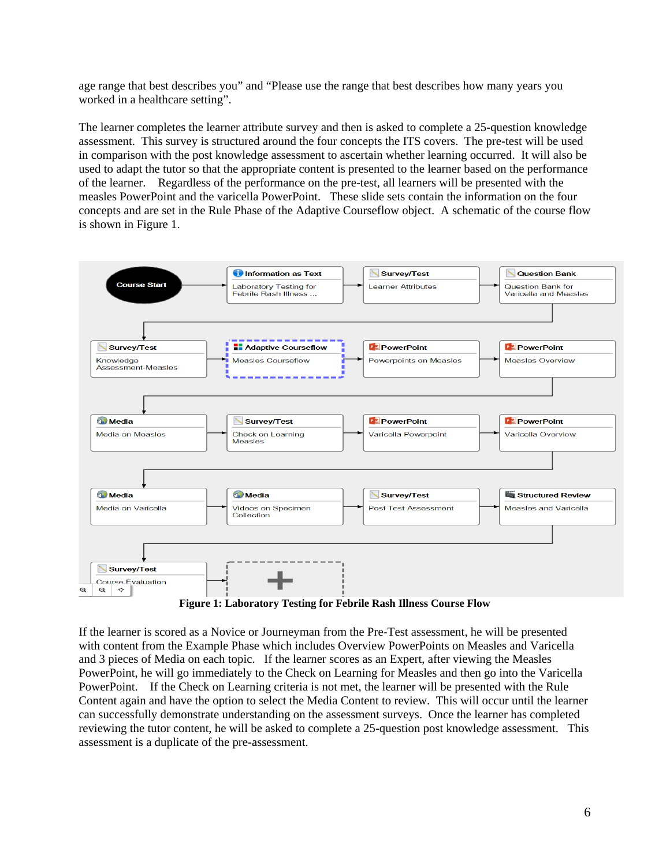age range that best describes you" and "Please use the range that best describes how many years you worked in a healthcare setting".

The learner completes the learner attribute survey and then is asked to complete a 25-question knowledge assessment. This survey is structured around the four concepts the ITS covers. The pre-test will be used in comparison with the post knowledge assessment to ascertain whether learning occurred. It will also be used to adapt the tutor so that the appropriate content is presented to the learner based on the performance of the learner. Regardless of the performance on the pre-test, all learners will be presented with the measles PowerPoint and the varicella PowerPoint. These slide sets contain the information on the four concepts and are set in the Rule Phase of the Adaptive Courseflow object. A schematic of the course flow is shown in Figure 1.



**Figure 1: Laboratory Testing for Febrile Rash Illness Course Flow**

If the learner is scored as a Novice or Journeyman from the Pre-Test assessment, he will be presented with content from the Example Phase which includes Overview PowerPoints on Measles and Varicella and 3 pieces of Media on each topic. If the learner scores as an Expert, after viewing the Measles PowerPoint, he will go immediately to the Check on Learning for Measles and then go into the Varicella PowerPoint. If the Check on Learning criteria is not met, the learner will be presented with the Rule Content again and have the option to select the Media Content to review. This will occur until the learner can successfully demonstrate understanding on the assessment surveys. Once the learner has completed reviewing the tutor content, he will be asked to complete a 25-question post knowledge assessment. This assessment is a duplicate of the pre-assessment.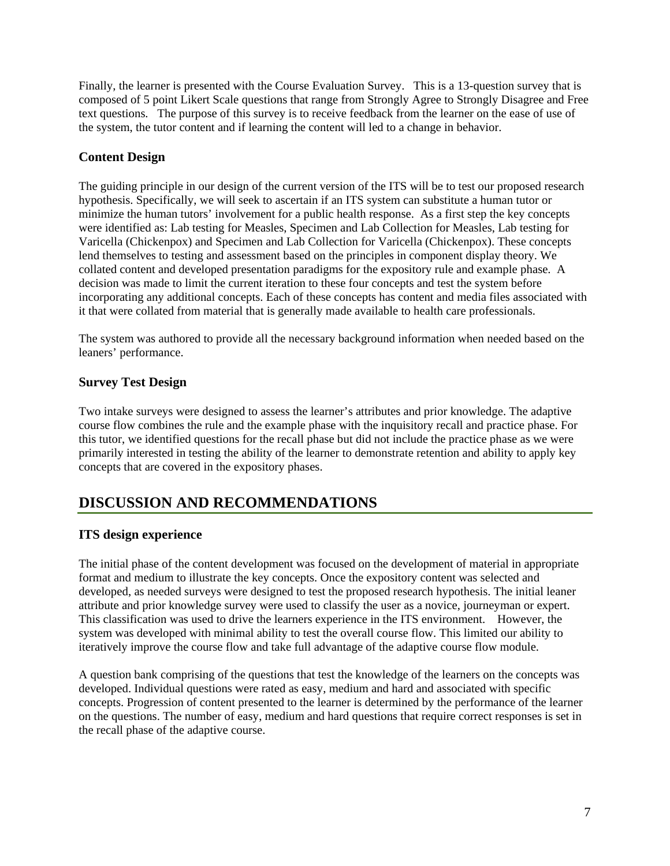Finally, the learner is presented with the Course Evaluation Survey. This is a 13-question survey that is composed of 5 point Likert Scale questions that range from Strongly Agree to Strongly Disagree and Free text questions. The purpose of this survey is to receive feedback from the learner on the ease of use of the system, the tutor content and if learning the content will led to a change in behavior.

## **Content Design**

The guiding principle in our design of the current version of the ITS will be to test our proposed research hypothesis. Specifically, we will seek to ascertain if an ITS system can substitute a human tutor or minimize the human tutors' involvement for a public health response. As a first step the key concepts were identified as: Lab testing for Measles, Specimen and Lab Collection for Measles, Lab testing for Varicella (Chickenpox) and Specimen and Lab Collection for Varicella (Chickenpox). These concepts lend themselves to testing and assessment based on the principles in component display theory. We collated content and developed presentation paradigms for the expository rule and example phase. A decision was made to limit the current iteration to these four concepts and test the system before incorporating any additional concepts. Each of these concepts has content and media files associated with it that were collated from material that is generally made available to health care professionals.

The system was authored to provide all the necessary background information when needed based on the leaners' performance.

### **Survey Test Design**

Two intake surveys were designed to assess the learner's attributes and prior knowledge. The adaptive course flow combines the rule and the example phase with the inquisitory recall and practice phase. For this tutor, we identified questions for the recall phase but did not include the practice phase as we were primarily interested in testing the ability of the learner to demonstrate retention and ability to apply key concepts that are covered in the expository phases.

## **DISCUSSION AND RECOMMENDATIONS**

### **ITS design experience**

The initial phase of the content development was focused on the development of material in appropriate format and medium to illustrate the key concepts. Once the expository content was selected and developed, as needed surveys were designed to test the proposed research hypothesis. The initial leaner attribute and prior knowledge survey were used to classify the user as a novice, journeyman or expert. This classification was used to drive the learners experience in the ITS environment. However, the system was developed with minimal ability to test the overall course flow. This limited our ability to iteratively improve the course flow and take full advantage of the adaptive course flow module.

A question bank comprising of the questions that test the knowledge of the learners on the concepts was developed. Individual questions were rated as easy, medium and hard and associated with specific concepts. Progression of content presented to the learner is determined by the performance of the learner on the questions. The number of easy, medium and hard questions that require correct responses is set in the recall phase of the adaptive course.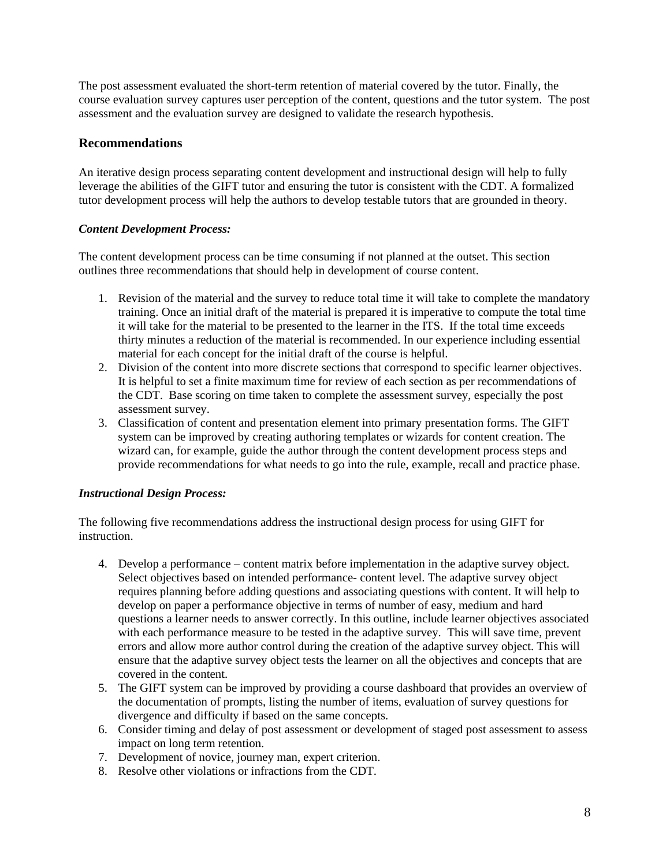The post assessment evaluated the short-term retention of material covered by the tutor. Finally, the course evaluation survey captures user perception of the content, questions and the tutor system. The post assessment and the evaluation survey are designed to validate the research hypothesis.

### **Recommendations**

An iterative design process separating content development and instructional design will help to fully leverage the abilities of the GIFT tutor and ensuring the tutor is consistent with the CDT. A formalized tutor development process will help the authors to develop testable tutors that are grounded in theory.

#### *Content Development Process:*

The content development process can be time consuming if not planned at the outset. This section outlines three recommendations that should help in development of course content.

- 1. Revision of the material and the survey to reduce total time it will take to complete the mandatory training. Once an initial draft of the material is prepared it is imperative to compute the total time it will take for the material to be presented to the learner in the ITS. If the total time exceeds thirty minutes a reduction of the material is recommended. In our experience including essential material for each concept for the initial draft of the course is helpful.
- 2. Division of the content into more discrete sections that correspond to specific learner objectives. It is helpful to set a finite maximum time for review of each section as per recommendations of the CDT. Base scoring on time taken to complete the assessment survey, especially the post assessment survey.
- 3. Classification of content and presentation element into primary presentation forms. The GIFT system can be improved by creating authoring templates or wizards for content creation. The wizard can, for example, guide the author through the content development process steps and provide recommendations for what needs to go into the rule, example, recall and practice phase.

#### *Instructional Design Process:*

The following five recommendations address the instructional design process for using GIFT for instruction.

- 4. Develop a performance content matrix before implementation in the adaptive survey object. Select objectives based on intended performance- content level. The adaptive survey object requires planning before adding questions and associating questions with content. It will help to develop on paper a performance objective in terms of number of easy, medium and hard questions a learner needs to answer correctly. In this outline, include learner objectives associated with each performance measure to be tested in the adaptive survey. This will save time, prevent errors and allow more author control during the creation of the adaptive survey object. This will ensure that the adaptive survey object tests the learner on all the objectives and concepts that are covered in the content.
- 5. The GIFT system can be improved by providing a course dashboard that provides an overview of the documentation of prompts, listing the number of items, evaluation of survey questions for divergence and difficulty if based on the same concepts.
- 6. Consider timing and delay of post assessment or development of staged post assessment to assess impact on long term retention.
- 7. Development of novice, journey man, expert criterion.
- 8. Resolve other violations or infractions from the CDT.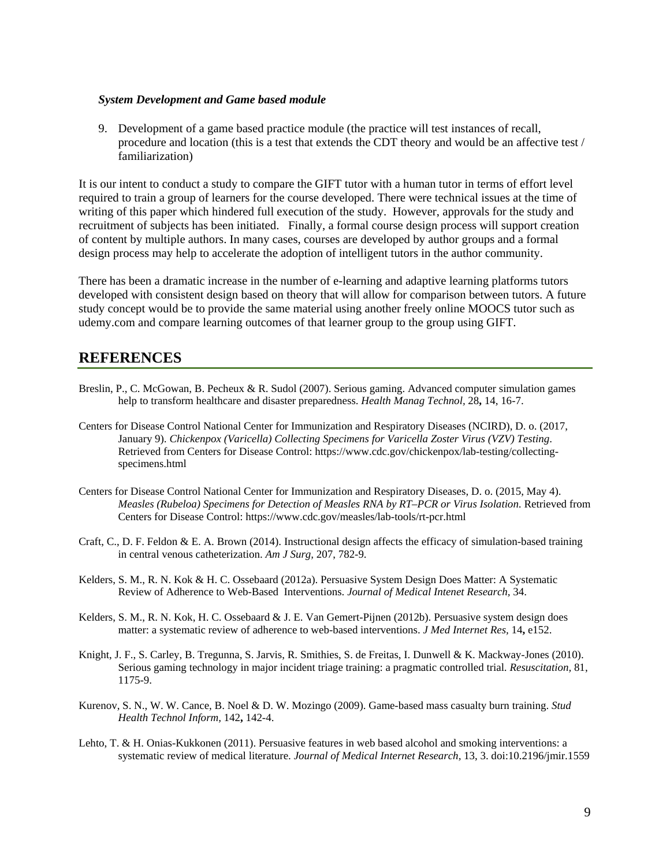#### *System Development and Game based module*

9. Development of a game based practice module (the practice will test instances of recall, procedure and location (this is a test that extends the CDT theory and would be an affective test / familiarization)

It is our intent to conduct a study to compare the GIFT tutor with a human tutor in terms of effort level required to train a group of learners for the course developed. There were technical issues at the time of writing of this paper which hindered full execution of the study. However, approvals for the study and recruitment of subjects has been initiated. Finally, a formal course design process will support creation of content by multiple authors. In many cases, courses are developed by author groups and a formal design process may help to accelerate the adoption of intelligent tutors in the author community.

There has been a dramatic increase in the number of e-learning and adaptive learning platforms tutors developed with consistent design based on theory that will allow for comparison between tutors. A future study concept would be to provide the same material using another freely online MOOCS tutor such as udemy.com and compare learning outcomes of that learner group to the group using GIFT.

### **REFERENCES**

- Breslin, P., C. McGowan, B. Pecheux & R. Sudol (2007). Serious gaming. Advanced computer simulation games help to transform healthcare and disaster preparedness. *Health Manag Technol,* 28**,** 14, 16-7.
- Centers for Disease Control National Center for Immunization and Respiratory Diseases (NCIRD), D. o. (2017, January 9). *Chickenpox (Varicella) Collecting Specimens for Varicella Zoster Virus (VZV) Testing*. Retrieved from Centers for Disease Control: https://www.cdc.gov/chickenpox/lab-testing/collectingspecimens.html
- Centers for Disease Control National Center for Immunization and Respiratory Diseases, D. o. (2015, May 4). *Measles (Rubeloa) Specimens for Detection of Measles RNA by RT–PCR or Virus Isolation*. Retrieved from Centers for Disease Control: https://www.cdc.gov/measles/lab-tools/rt-pcr.html
- Craft, C., D. F. Feldon & E. A. Brown (2014). Instructional design affects the efficacy of simulation-based training in central venous catheterization. *Am J Surg,* 207, 782-9.
- Kelders, S. M., R. N. Kok & H. C. Ossebaard (2012a). Persuasive System Design Does Matter: A Systematic Review of Adherence to Web-Based Interventions. *Journal of Medical Intenet Research,* 34.
- Kelders, S. M., R. N. Kok, H. C. Ossebaard & J. E. Van Gemert-Pijnen (2012b). Persuasive system design does matter: a systematic review of adherence to web-based interventions. *J Med Internet Res,* 14**,** e152.
- Knight, J. F., S. Carley, B. Tregunna, S. Jarvis, R. Smithies, S. de Freitas, I. Dunwell & K. Mackway-Jones (2010). Serious gaming technology in major incident triage training: a pragmatic controlled trial. *Resuscitation,* 81, 1175-9.
- Kurenov, S. N., W. W. Cance, B. Noel & D. W. Mozingo (2009). Game-based mass casualty burn training. *Stud Health Technol Inform,* 142**,** 142-4.
- Lehto, T. & H. Onias-Kukkonen (2011). Persuasive features in web based alcohol and smoking interventions: a systematic review of medical literature. *Journal of Medical Internet Research,* 13, 3. doi:10.2196/jmir.1559